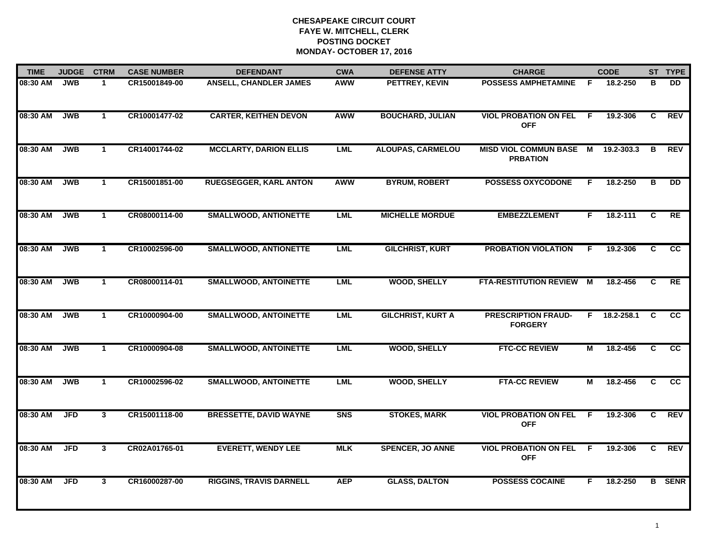| <b>TIME</b> | <b>JUDGE</b> | <b>CTRM</b>  | <b>CASE NUMBER</b> | <b>DEFENDANT</b>               | <b>CWA</b> | <b>DEFENSE ATTY</b>      | <b>CHARGE</b>                                |    | <b>CODE</b>    |                | ST TYPE       |
|-------------|--------------|--------------|--------------------|--------------------------------|------------|--------------------------|----------------------------------------------|----|----------------|----------------|---------------|
| 08:30 AM    | <b>JWB</b>   | 1            | CR15001849-00      | <b>ANSELL, CHANDLER JAMES</b>  | <b>AWW</b> | PETTREY, KEVIN           | <b>POSSESS AMPHETAMINE</b>                   | F. | 18.2-250       | в              | <b>DD</b>     |
| 08:30 AM    | <b>JWB</b>   | $\mathbf{1}$ | CR10001477-02      | <b>CARTER, KEITHEN DEVON</b>   | <b>AWW</b> | <b>BOUCHARD, JULIAN</b>  | <b>VIOL PROBATION ON FEL</b><br><b>OFF</b>   | F. | 19.2-306       | C              | <b>REV</b>    |
| 08:30 AM    | <b>JWB</b>   | $\mathbf 1$  | CR14001744-02      | <b>MCCLARTY, DARION ELLIS</b>  | <b>LML</b> | <b>ALOUPAS, CARMELOU</b> | MISD VIOL COMMUN BASE M<br><b>PRBATION</b>   |    | 19.2-303.3     | В              | <b>REV</b>    |
| 08:30 AM    | <b>JWB</b>   | $\mathbf{1}$ | CR15001851-00      | <b>RUEGSEGGER, KARL ANTON</b>  | AWW        | <b>BYRUM, ROBERT</b>     | <b>POSSESS OXYCODONE</b>                     | F. | 18.2-250       | В              | <b>DD</b>     |
| 08:30 AM    | <b>JWB</b>   | $\mathbf{1}$ | CR08000114-00      | <b>SMALLWOOD, ANTIONETTE</b>   | <b>LML</b> | <b>MICHELLE MORDUE</b>   | <b>EMBEZZLEMENT</b>                          | F. | 18.2-111       | C              | RE            |
| 08:30 AM    | <b>JWB</b>   | $\mathbf{1}$ | CR10002596-00      | <b>SMALLWOOD, ANTIONETTE</b>   | <b>LML</b> | <b>GILCHRIST, KURT</b>   | <b>PROBATION VIOLATION</b>                   | F. | 19.2-306       | C.             | <b>CC</b>     |
| 08:30 AM    | <b>JWB</b>   | $\mathbf{1}$ | CR08000114-01      | <b>SMALLWOOD, ANTOINETTE</b>   | LML        | <b>WOOD, SHELLY</b>      | <b>FTA-RESTITUTION REVIEW</b>                | M  | 18.2-456       | $\overline{c}$ | RE            |
| 08:30 AM    | <b>JWB</b>   | $\mathbf{1}$ | CR10000904-00      | <b>SMALLWOOD, ANTOINETTE</b>   | LML        | <b>GILCHRIST, KURT A</b> | <b>PRESCRIPTION FRAUD-</b><br><b>FORGERY</b> |    | $F$ 18.2-258.1 | C              | <b>CC</b>     |
| 08:30 AM    | <b>JWB</b>   | $\mathbf 1$  | CR10000904-08      | <b>SMALLWOOD, ANTOINETTE</b>   | <b>LML</b> | <b>WOOD, SHELLY</b>      | <b>FTC-CC REVIEW</b>                         | М  | 18.2-456       | C              | CC            |
| 08:30 AM    | <b>JWB</b>   | $\mathbf{1}$ | CR10002596-02      | <b>SMALLWOOD, ANTOINETTE</b>   | <b>LML</b> | <b>WOOD, SHELLY</b>      | <b>FTA-CC REVIEW</b>                         | М  | 18.2-456       | C              | <b>CC</b>     |
| 08:30 AM    | <b>JFD</b>   | $\mathbf{3}$ | CR15001118-00      | <b>BRESSETTE, DAVID WAYNE</b>  | <b>SNS</b> | <b>STOKES, MARK</b>      | <b>VIOL PROBATION ON FEL</b><br><b>OFF</b>   | -F | 19.2-306       | C              | <b>REV</b>    |
| 08:30 AM    | <b>JFD</b>   | $\mathbf{3}$ | CR02A01765-01      | <b>EVERETT, WENDY LEE</b>      | <b>MLK</b> | <b>SPENCER, JO ANNE</b>  | <b>VIOL PROBATION ON FEL</b><br><b>OFF</b>   | F. | 19.2-306       | C.             | <b>REV</b>    |
| 08:30 AM    | <b>JFD</b>   | 3            | CR16000287-00      | <b>RIGGINS, TRAVIS DARNELL</b> | <b>AEP</b> | <b>GLASS, DALTON</b>     | <b>POSSESS COCAINE</b>                       | F. | 18.2-250       |                | <b>B</b> SENR |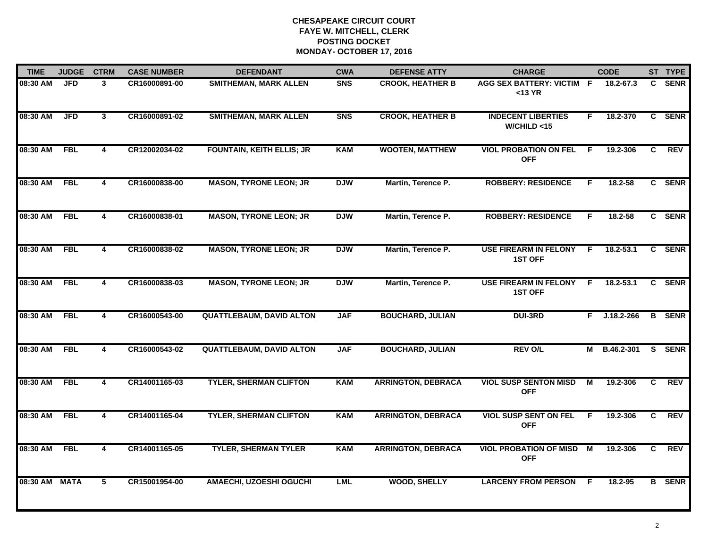| <b>TIME</b> | <b>JUDGE</b> | <b>CTRM</b>             | <b>CASE NUMBER</b> | <b>DEFENDANT</b>                 | <b>CWA</b> | <b>DEFENSE ATTY</b>       | <b>CHARGE</b>                                  |                | <b>CODE</b>    |              | ST TYPE       |
|-------------|--------------|-------------------------|--------------------|----------------------------------|------------|---------------------------|------------------------------------------------|----------------|----------------|--------------|---------------|
| 08:30 AM    | <b>JFD</b>   | $\mathbf{3}$            | CR16000891-00      | <b>SMITHEMAN, MARK ALLEN</b>     | <b>SNS</b> | <b>CROOK, HEATHER B</b>   | AGG SEX BATTERY: VICTIM F<br>$<$ 13 YR         |                | 18.2-67.3      | C.           | <b>SENR</b>   |
| 08:30 AM    | <b>JFD</b>   | $\mathbf{3}$            | CR16000891-02      | <b>SMITHEMAN, MARK ALLEN</b>     | <b>SNS</b> | <b>CROOK, HEATHER B</b>   | <b>INDECENT LIBERTIES</b><br>W/CHILD < 15      | F.             | 18.2-370       |              | C SENR        |
| 08:30 AM    | <b>FBL</b>   | 4                       | CR12002034-02      | <b>FOUNTAIN, KEITH ELLIS; JR</b> | <b>KAM</b> | <b>WOOTEN, MATTHEW</b>    | <b>VIOL PROBATION ON FEL</b><br><b>OFF</b>     | F              | 19.2-306       | C            | <b>REV</b>    |
| 08:30 AM    | <b>FBL</b>   | 4                       | CR16000838-00      | <b>MASON, TYRONE LEON; JR</b>    | <b>DJW</b> | Martin, Terence P.        | <b>ROBBERY: RESIDENCE</b>                      | E              | $18.2 - 58$    |              | C SENR        |
| 08:30 AM    | <b>FBL</b>   | 4                       | CR16000838-01      | <b>MASON, TYRONE LEON; JR</b>    | <b>DJW</b> | Martin, Terence P.        | <b>ROBBERY: RESIDENCE</b>                      | F.             | $18.2 - 58$    |              | C SENR        |
| 08:30 AM    | <b>FBL</b>   | 4                       | CR16000838-02      | <b>MASON, TYRONE LEON; JR</b>    | <b>DJW</b> | Martin, Terence P.        | <b>USE FIREARM IN FELONY</b><br><b>1ST OFF</b> | F.             | $18.2 - 53.1$  |              | C SENR        |
| 08:30 AM    | <b>FBL</b>   | $\overline{4}$          | CR16000838-03      | <b>MASON, TYRONE LEON; JR</b>    | <b>DJW</b> | Martin, Terence P.        | <b>USE FIREARM IN FELONY</b><br><b>1ST OFF</b> | F.             | $18.2 - 53.1$  |              | C SENR        |
| 08:30 AM    | <b>FBL</b>   | $\overline{\mathbf{4}}$ | CR16000543-00      | <b>QUATTLEBAUM, DAVID ALTON</b>  | <b>JAF</b> | <b>BOUCHARD, JULIAN</b>   | <b>DUI-3RD</b>                                 | F.             | $J.18.2 - 266$ |              | <b>B</b> SENR |
| 08:30 AM    | <b>FBL</b>   | 4                       | CR16000543-02      | <b>QUATTLEBAUM, DAVID ALTON</b>  | <b>JAF</b> | <b>BOUCHARD, JULIAN</b>   | <b>REV O/L</b>                                 | М              | B.46.2-301     |              | S SENR        |
| 08:30 AM    | <b>FBL</b>   | 4                       | CR14001165-03      | <b>TYLER, SHERMAN CLIFTON</b>    | <b>KAM</b> | <b>ARRINGTON, DEBRACA</b> | <b>VIOL SUSP SENTON MISD</b><br><b>OFF</b>     | М              | 19.2-306       | C            | <b>REV</b>    |
| 08:30 AM    | <b>FBL</b>   | 4                       | CR14001165-04      | <b>TYLER, SHERMAN CLIFTON</b>    | <b>KAM</b> | <b>ARRINGTON, DEBRACA</b> | <b>VIOL SUSP SENT ON FEL</b><br><b>OFF</b>     | F              | 19.2-306       | $\mathbf{c}$ | <b>REV</b>    |
| 08:30 AM    | <b>FBL</b>   | $\overline{4}$          | CR14001165-05      | <b>TYLER, SHERMAN TYLER</b>      | <b>KAM</b> | <b>ARRINGTON, DEBRACA</b> | <b>VIOL PROBATION OF MISD</b><br><b>OFF</b>    | $\blacksquare$ | 19.2-306       | C            | <b>REV</b>    |
| 08:30 AM    | <b>MATA</b>  | 5                       | CR15001954-00      | <b>AMAECHI, UZOESHI OGUCHI</b>   | <b>LML</b> | <b>WOOD, SHELLY</b>       | <b>LARCENY FROM PERSON</b>                     | -F             | 18.2-95        |              | <b>B</b> SENR |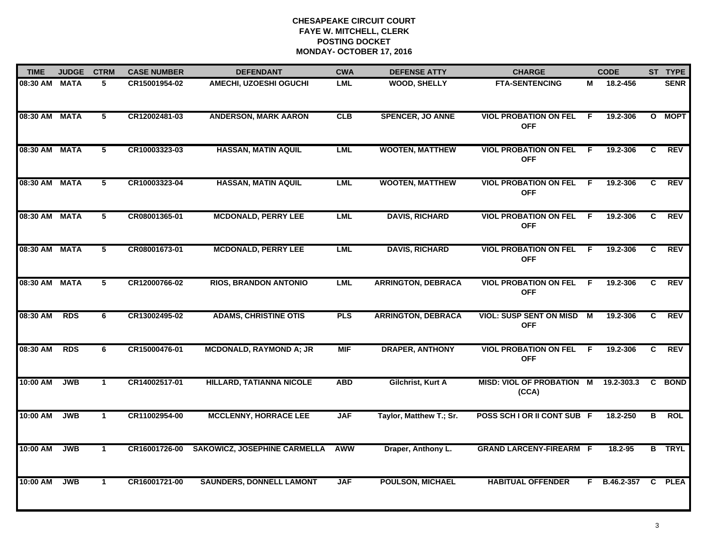| <b>TIME</b>   | <b>JUDGE</b> | <b>CTRM</b>     | <b>CASE NUMBER</b> | <b>DEFENDANT</b>                    | <b>CWA</b> | <b>DEFENSE ATTY</b>       | <b>CHARGE</b>                                 |     | <b>CODE</b> |              | ST TYPE       |
|---------------|--------------|-----------------|--------------------|-------------------------------------|------------|---------------------------|-----------------------------------------------|-----|-------------|--------------|---------------|
| 08:30 AM MATA |              | 5               | CR15001954-02      | <b>AMECHI, UZOESHI OGUCHI</b>       | <b>LML</b> | <b>WOOD, SHELLY</b>       | <b>FTA-SENTENCING</b>                         | М   | 18.2-456    |              | <b>SENR</b>   |
| 08:30 AM MATA |              | 5               | CR12002481-03      | <b>ANDERSON, MARK AARON</b>         | CLB        | <b>SPENCER, JO ANNE</b>   | <b>VIOL PROBATION ON FEL</b><br><b>OFF</b>    | -F  | 19.2-306    |              | O MOPT        |
| 08:30 AM MATA |              | 5               | CR10003323-03      | <b>HASSAN, MATIN AQUIL</b>          | <b>LML</b> | <b>WOOTEN, MATTHEW</b>    | <b>VIOL PROBATION ON FEL</b><br><b>OFF</b>    | - F | 19.2-306    | C.           | REV           |
| 08:30 AM MATA |              | 5               | CR10003323-04      | <b>HASSAN, MATIN AQUIL</b>          | <b>LML</b> | <b>WOOTEN, MATTHEW</b>    | <b>VIOL PROBATION ON FEL</b><br><b>OFF</b>    | - F | 19.2-306    | C            | <b>REV</b>    |
| 08:30 AM MATA |              | 5               | CR08001365-01      | <b>MCDONALD, PERRY LEE</b>          | <b>LML</b> | <b>DAVIS, RICHARD</b>     | <b>VIOL PROBATION ON FEL</b><br><b>OFF</b>    | -F  | 19.2-306    | C.           | <b>REV</b>    |
| 08:30 AM MATA |              | $5\overline{)}$ | CR08001673-01      | <b>MCDONALD, PERRY LEE</b>          | <b>LML</b> | <b>DAVIS, RICHARD</b>     | <b>VIOL PROBATION ON FEL</b><br><b>OFF</b>    | F.  | 19.2-306    | C.           | <b>REV</b>    |
| 08:30 AM MATA |              | 5               | CR12000766-02      | <b>RIOS, BRANDON ANTONIO</b>        | <b>LML</b> | <b>ARRINGTON, DEBRACA</b> | <b>VIOL PROBATION ON FEL</b><br><b>OFF</b>    | -F  | 19.2-306    | C.           | <b>REV</b>    |
| 08:30 AM      | <b>RDS</b>   | 6               | CR13002495-02      | <b>ADAMS, CHRISTINE OTIS</b>        | <b>PLS</b> | <b>ARRINGTON, DEBRACA</b> | VIOL: SUSP SENT ON MISD M<br><b>OFF</b>       |     | 19.2-306    | C.           | <b>REV</b>    |
| 08:30 AM      | <b>RDS</b>   | 6               | CR15000476-01      | <b>MCDONALD, RAYMOND A; JR</b>      | <b>MIF</b> | <b>DRAPER, ANTHONY</b>    | <b>VIOL PROBATION ON FEL</b><br><b>OFF</b>    | -F  | 19.2-306    | C            | <b>REV</b>    |
| 10:00 AM      | <b>JWB</b>   | $\mathbf{1}$    | CR14002517-01      | <b>HILLARD, TATIANNA NICOLE</b>     | <b>ABD</b> | Gilchrist, Kurt A         | MISD: VIOL OF PROBATION M 19.2-303.3<br>(CCA) |     |             | $\mathbf{c}$ | <b>BOND</b>   |
| 10:00 AM      | <b>JWB</b>   | $\mathbf 1$     | CR11002954-00      | <b>MCCLENNY, HORRACE LEE</b>        | <b>JAF</b> | Taylor, Matthew T.; Sr.   | POSS SCH I OR II CONT SUB F                   |     | 18.2-250    | в            | ROL           |
| 10:00 AM      | <b>JWB</b>   | $\mathbf{1}$    | CR16001726-00      | <b>SAKOWICZ, JOSEPHINE CARMELLA</b> | <b>AWW</b> | Draper, Anthony L.        | <b>GRAND LARCENY-FIREARM F</b>                |     | 18.2-95     |              | <b>B</b> TRYL |
| 10:00 AM      | <b>JWB</b>   | 1               | CR16001721-00      | <b>SAUNDERS, DONNELL LAMONT</b>     | <b>JAF</b> | <b>POULSON, MICHAEL</b>   | <b>HABITUAL OFFENDER</b>                      | F.  | B.46.2-357  | C.           | <b>PLEA</b>   |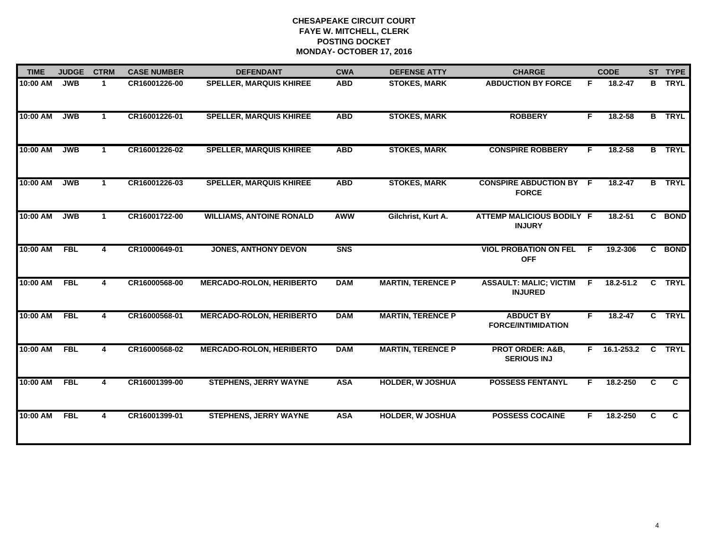| <b>TIME</b> | <b>JUDGE</b> | <b>CTRM</b>  | <b>CASE NUMBER</b> | <b>DEFENDANT</b>                | <b>CWA</b> | <b>DEFENSE ATTY</b>      | <b>CHARGE</b>                                     |    | <b>CODE</b>   |    | ST TYPE        |
|-------------|--------------|--------------|--------------------|---------------------------------|------------|--------------------------|---------------------------------------------------|----|---------------|----|----------------|
| 10:00 AM    | <b>JWB</b>   | $\mathbf{1}$ | CR16001226-00      | <b>SPELLER, MARQUIS KHIREE</b>  | <b>ABD</b> | <b>STOKES, MARK</b>      | <b>ABDUCTION BY FORCE</b>                         | F. | 18.2-47       |    | <b>B</b> TRYL  |
| 10:00 AM    | <b>JWB</b>   | $\mathbf 1$  | CR16001226-01      | <b>SPELLER, MARQUIS KHIREE</b>  | <b>ABD</b> | <b>STOKES, MARK</b>      | <b>ROBBERY</b>                                    | F. | 18.2-58       |    | <b>B</b> TRYL  |
| 10:00 AM    | <b>JWB</b>   | $\mathbf{1}$ | CR16001226-02      | <b>SPELLER, MARQUIS KHIREE</b>  | <b>ABD</b> | <b>STOKES, MARK</b>      | <b>CONSPIRE ROBBERY</b>                           | F. | 18.2-58       |    | <b>B</b> TRYL  |
| 10:00 AM    | <b>JWB</b>   | $\mathbf 1$  | CR16001226-03      | <b>SPELLER, MARQUIS KHIREE</b>  | <b>ABD</b> | <b>STOKES, MARK</b>      | <b>CONSPIRE ABDUCTION BY F</b><br><b>FORCE</b>    |    | 18.2-47       |    | <b>B</b> TRYL  |
| 10:00 AM    | <b>JWB</b>   | $\mathbf 1$  | CR16001722-00      | <b>WILLIAMS, ANTOINE RONALD</b> | <b>AWW</b> | Gilchrist, Kurt A.       | ATTEMP MALICIOUS BODILY F<br><b>INJURY</b>        |    | $18.2 - 51$   |    | C BOND         |
| 10:00 AM    | <b>FBL</b>   | 4            | CR10000649-01      | <b>JONES, ANTHONY DEVON</b>     | <b>SNS</b> |                          | <b>VIOL PROBATION ON FEL</b><br><b>OFF</b>        | -F | 19.2-306      |    | C BOND         |
| 10:00 AM    | <b>FBL</b>   | 4            | CR16000568-00      | <b>MERCADO-ROLON, HERIBERTO</b> | <b>DAM</b> | <b>MARTIN, TERENCE P</b> | <b>ASSAULT: MALIC; VICTIM</b><br><b>INJURED</b>   | F. | $18.2 - 51.2$ | C  | <b>TRYL</b>    |
| 10:00 AM    | <b>FBL</b>   | 4            | CR16000568-01      | <b>MERCADO-ROLON, HERIBERTO</b> | <b>DAM</b> | <b>MARTIN, TERENCE P</b> | <b>ABDUCT BY</b><br><b>FORCE/INTIMIDATION</b>     | F. | $18.2 - 47$   |    | C TRYL         |
| 10:00 AM    | <b>FBL</b>   | 4            | CR16000568-02      | <b>MERCADO-ROLON, HERIBERTO</b> | <b>DAM</b> | <b>MARTIN, TERENCE P</b> | <b>PROT ORDER: A&amp;B,</b><br><b>SERIOUS INJ</b> | F. | 16.1-253.2    |    | C TRYL         |
| 10:00 AM    | <b>FBL</b>   | 4            | CR16001399-00      | <b>STEPHENS, JERRY WAYNE</b>    | <b>ASA</b> | <b>HOLDER, W JOSHUA</b>  | <b>POSSESS FENTANYL</b>                           | F  | 18.2-250      | C. | $\mathbf{C}$   |
| 10:00 AM    | <b>FBL</b>   | 4            | CR16001399-01      | <b>STEPHENS, JERRY WAYNE</b>    | <b>ASA</b> | <b>HOLDER, W JOSHUA</b>  | <b>POSSESS COCAINE</b>                            | F. | 18.2-250      | C  | $\overline{c}$ |
|             |              |              |                    |                                 |            |                          |                                                   |    |               |    |                |